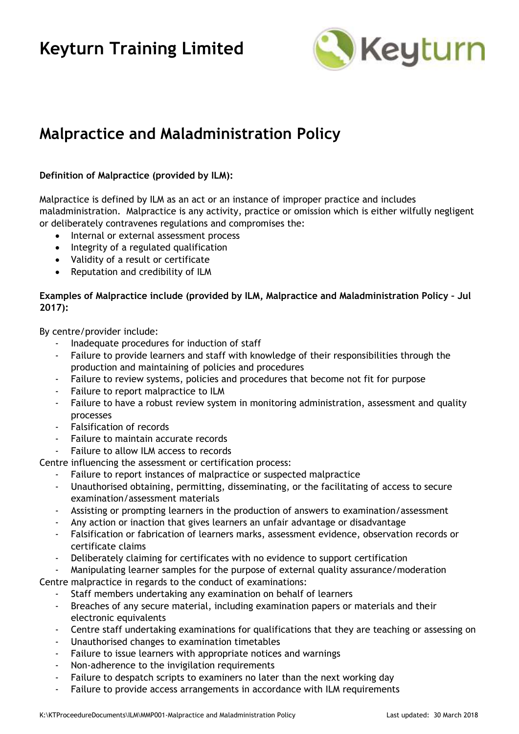# **Keyturn Training Limited**



### **Malpractice and Maladministration Policy**

### **Definition of Malpractice (provided by ILM):**

Malpractice is defined by ILM as an act or an instance of improper practice and includes maladministration. Malpractice is any activity, practice or omission which is either wilfully negligent or deliberately contravenes regulations and compromises the:

- Internal or external assessment process
- Integrity of a regulated qualification
- Validity of a result or certificate
- Reputation and credibility of ILM

### **Examples of Malpractice include (provided by ILM, Malpractice and Maladministration Policy – Jul 2017):**

By centre/provider include:

- Inadequate procedures for induction of staff
- Failure to provide learners and staff with knowledge of their responsibilities through the production and maintaining of policies and procedures
- Failure to review systems, policies and procedures that become not fit for purpose
- Failure to report malpractice to ILM
- Failure to have a robust review system in monitoring administration, assessment and quality processes
- Falsification of records
- Failure to maintain accurate records
- Failure to allow ILM access to records

Centre influencing the assessment or certification process:

- Failure to report instances of malpractice or suspected malpractice
- Unauthorised obtaining, permitting, disseminating, or the facilitating of access to secure examination/assessment materials
- Assisting or prompting learners in the production of answers to examination/assessment
- Any action or inaction that gives learners an unfair advantage or disadvantage
- Falsification or fabrication of learners marks, assessment evidence, observation records or certificate claims
- Deliberately claiming for certificates with no evidence to support certification
- Manipulating learner samples for the purpose of external quality assurance/moderation

Centre malpractice in regards to the conduct of examinations:

- Staff members undertaking any examination on behalf of learners
- Breaches of any secure material, including examination papers or materials and their electronic equivalents
- Centre staff undertaking examinations for qualifications that they are teaching or assessing on
- Unauthorised changes to examination timetables
- Failure to issue learners with appropriate notices and warnings
- Non-adherence to the invigilation requirements
- Failure to despatch scripts to examiners no later than the next working day
- Failure to provide access arrangements in accordance with ILM requirements